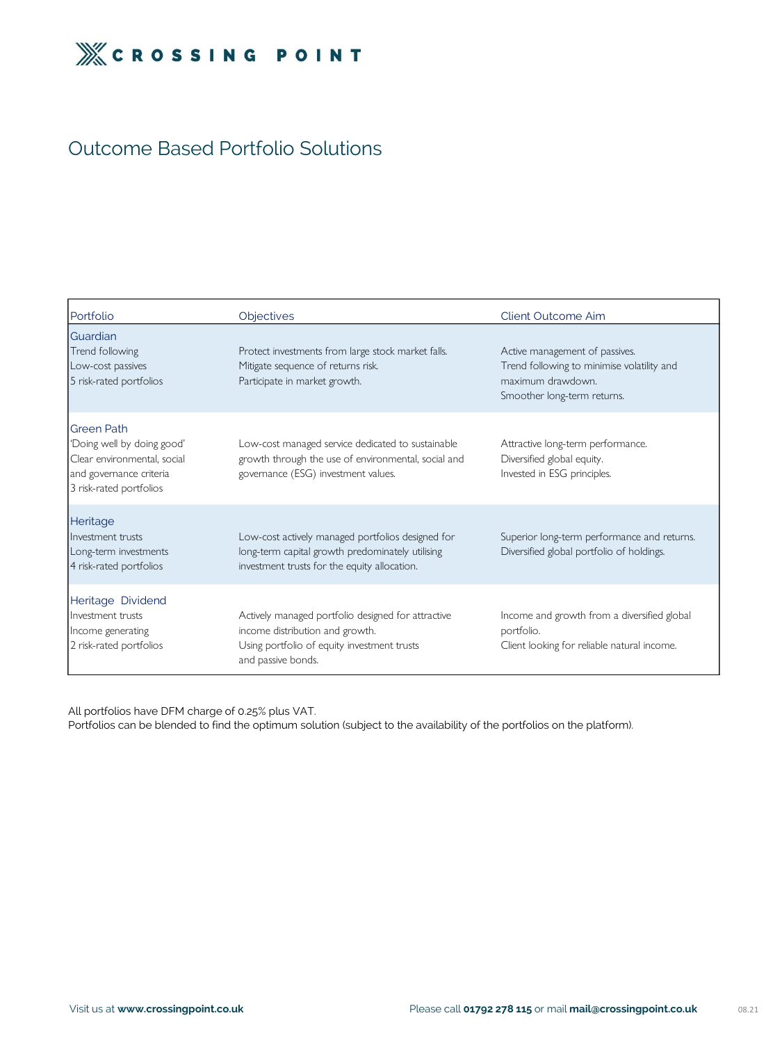

## Outcome Based Portfolio Solutions

All portfolios have DFM charge of 0.25% plus VAT.

Portfolios can be blended to find the optimum solution (subject to the availability of the portfolios on the platform).

| Portfolio                                                                                                                            | Objectives                                                                                                                                                 | <b>Client Outcome Aim</b>                                                                                                        |
|--------------------------------------------------------------------------------------------------------------------------------------|------------------------------------------------------------------------------------------------------------------------------------------------------------|----------------------------------------------------------------------------------------------------------------------------------|
| Guardian<br>Trend following<br>Low-cost passives<br>5 risk-rated portfolios                                                          | Protect investments from large stock market falls.<br>Mitigate sequence of returns risk.<br>Participate in market growth.                                  | Active management of passives.<br>Trend following to minimise volatility and<br>maximum drawdown.<br>Smoother long-term returns. |
| <b>Green Path</b><br>'Doing well by doing good'<br>Clear environmental, social<br>and governance criteria<br>3 risk-rated portfolios | Low-cost managed service dedicated to sustainable<br>growth through the use of environmental, social and<br>governance (ESG) investment values.            | Attractive long-term performance.<br>Diversified global equity.<br>Invested in ESG principles.                                   |
| Heritage<br>Investment trusts<br>Long-term investments<br>4 risk-rated portfolios                                                    | Low-cost actively managed portfolios designed for<br>long-term capital growth predominately utilising<br>investment trusts for the equity allocation.      | Superior long-term performance and returns.<br>Diversified global portfolio of holdings.                                         |
| Heritage Dividend<br>Investment trusts<br>Income generating<br>2 risk-rated portfolios                                               | Actively managed portfolio designed for attractive<br>income distribution and growth.<br>Using portfolio of equity investment trusts<br>and passive bonds. | Income and growth from a diversified global<br>portfolio.<br>Client looking for reliable natural income.                         |